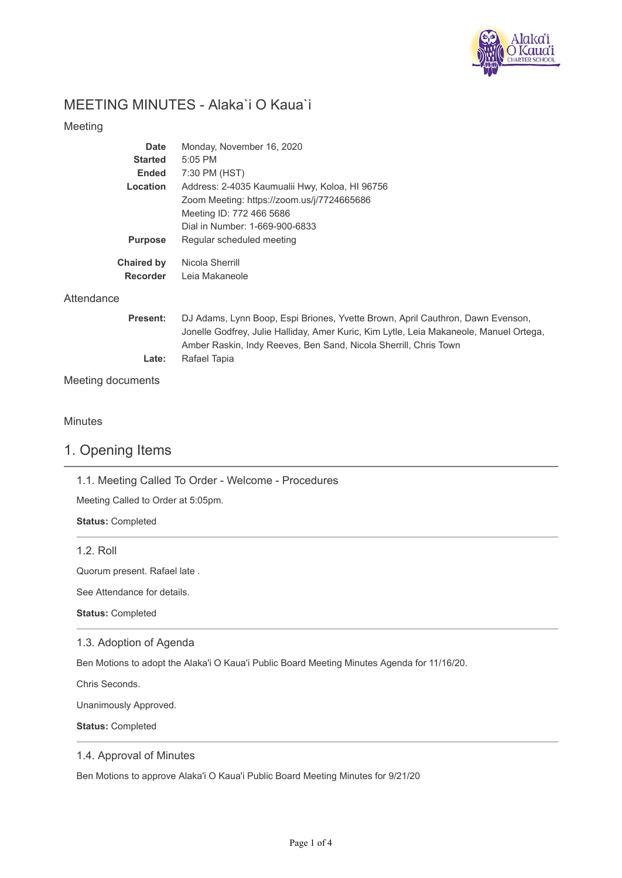

# MEETING MINUTES - Alaka`i O Kaua`i

## Meeting

| Date                                 | Monday, November 16, 2020                      |
|--------------------------------------|------------------------------------------------|
| <b>Started</b>                       | $5:05$ PM                                      |
| <b>Ended</b>                         | 7:30 PM (HST)                                  |
| Location                             | Address: 2-4035 Kaumualii Hwy, Koloa, HI 96756 |
|                                      | Zoom Meeting: https://zoom.us/j/7724665686     |
|                                      | Meeting ID: 772 466 5686                       |
|                                      | Dial in Number: 1-669-900-6833                 |
| <b>Purpose</b>                       | Regular scheduled meeting                      |
| <b>Chaired by</b><br><b>Recorder</b> | Nicola Sherrill<br>Leja Makaneole              |

## **Attendance**

| <b>Present:</b> | DJ Adams, Lynn Boop, Espi Briones, Yvette Brown, April Cauthron, Dawn Evenson,         |
|-----------------|----------------------------------------------------------------------------------------|
|                 | Jonelle Godfrey, Julie Halliday, Amer Kuric, Kim Lytle, Leia Makaneole, Manuel Ortega, |
|                 | Amber Raskin, Indy Reeves, Ben Sand, Nicola Sherrill, Chris Town                       |
| Late:           | Rafael Tapia                                                                           |
|                 |                                                                                        |

Meeting documents

## **Minutes**

# 1. Opening Items

1.1. Meeting Called To Order - Welcome - Procedures

Meeting Called to Order at 5:05pm.

**Status:** Completed

1.2. Roll

Quorum present. Rafael late .

See Attendance for details.

**Status:** Completed

### 1.3. Adoption of Agenda

Ben Motions to adopt the Alaka'i O Kaua'i Public Board Meeting Minutes Agenda for 11/16/20.

Chris Seconds.

Unanimously Approved.

**Status:** Completed

### 1.4. Approval of Minutes

Ben Motions to approve Alaka'i O Kaua'i Public Board Meeting Minutes for 9/21/20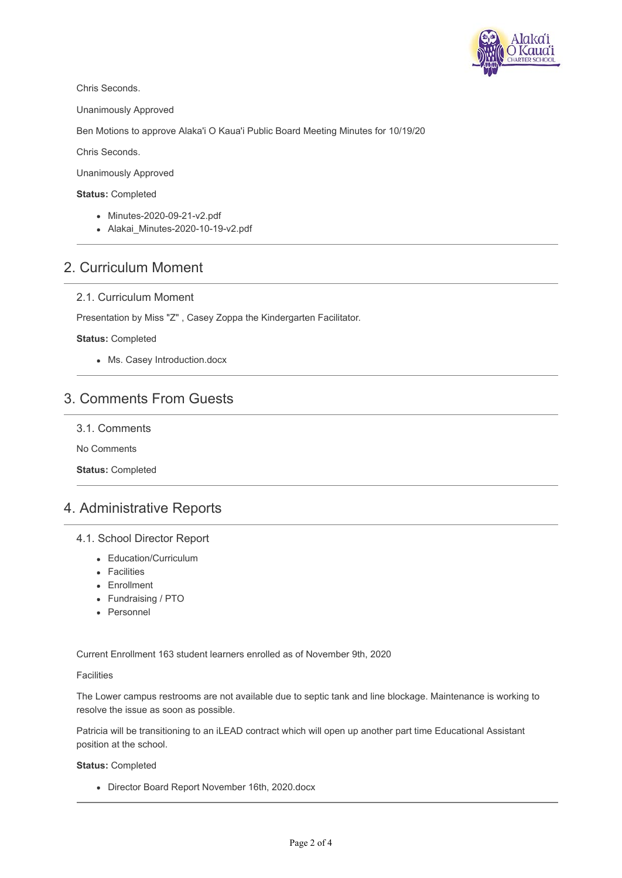

Chris Seconds.

Unanimously Approved

Ben Motions to approve Alaka'i O Kaua'i Public Board Meeting Minutes for 10/19/20

Chris Seconds.

Unanimously Approved

#### **Status:** Completed

- Minutes-2020-09-21-v2.pdf
- Alakai Minutes-2020-10-19-v2.pdf

# 2. Curriculum Moment

### 2.1. Curriculum Moment

Presentation by Miss "Z" , Casey Zoppa the Kindergarten Facilitator.

#### **Status:** Completed

Ms. Casey Introduction.docx

# 3. Comments From Guests

3.1. Comments

No Comments

**Status:** Completed

# 4. Administrative Reports

#### 4.1. School Director Report

- Education/Curriculum
- Facilities
- Enrollment
- Fundraising / PTO
- Personnel

Current Enrollment 163 student learners enrolled as of November 9th, 2020

#### **Facilities**

The Lower campus restrooms are not available due to septic tank and line blockage. Maintenance is working to resolve the issue as soon as possible.

Patricia will be transitioning to an iLEAD contract which will open up another part time Educational Assistant position at the school.

#### **Status:** Completed

Director Board Report November 16th, 2020.docx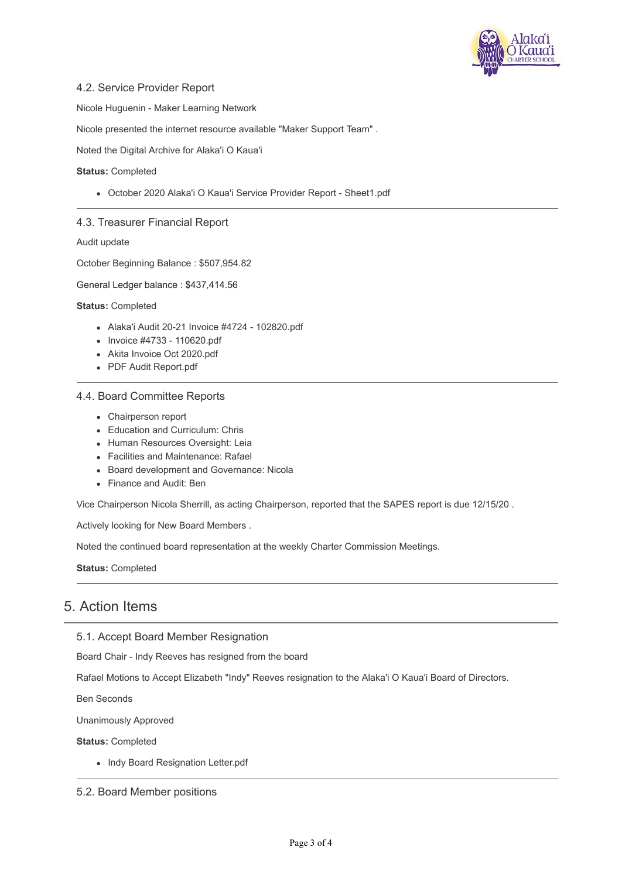

### 4.2. Service Provider Report

Nicole Huguenin - Maker Learning Network

Nicole presented the internet resource available "Maker Support Team" .

Noted the Digital Archive for Alaka'i O Kaua'i

#### **Status:** Completed

October 2020 Alaka'i O Kaua'i Service Provider Report - Sheet1.pdf

#### 4.3. Treasurer Financial Report

Audit update

October Beginning Balance : \$507,954.82

General Ledger balance : \$437,414.56

**Status:** Completed

- Alaka'i Audit 20-21 Invoice #4724 102820.pdf
- $\bullet$  Invoice #4733 110620.pdf
- Akita Invoice Oct 2020.pdf
- PDF Audit Report.pdf

#### 4.4. Board Committee Reports

- Chairperson report
- Education and Curriculum: Chris
- Human Resources Oversight: Leia
- Facilities and Maintenance: Rafael
- Board development and Governance: Nicola
- Finance and Audit: Ben

Vice Chairperson Nicola Sherrill, as acting Chairperson, reported that the SAPES report is due 12/15/20 .

Actively looking for New Board Members .

Noted the continued board representation at the weekly Charter Commission Meetings.

**Status:** Completed

# 5. Action Items

5.1. Accept Board Member Resignation

Board Chair - Indy Reeves has resigned from the board

Rafael Motions to Accept Elizabeth "Indy" Reeves resignation to the Alaka'i O Kaua'i Board of Directors.

Ben Seconds

Unanimously Approved

**Status:** Completed

• Indy Board Resignation Letter.pdf

5.2. Board Member positions